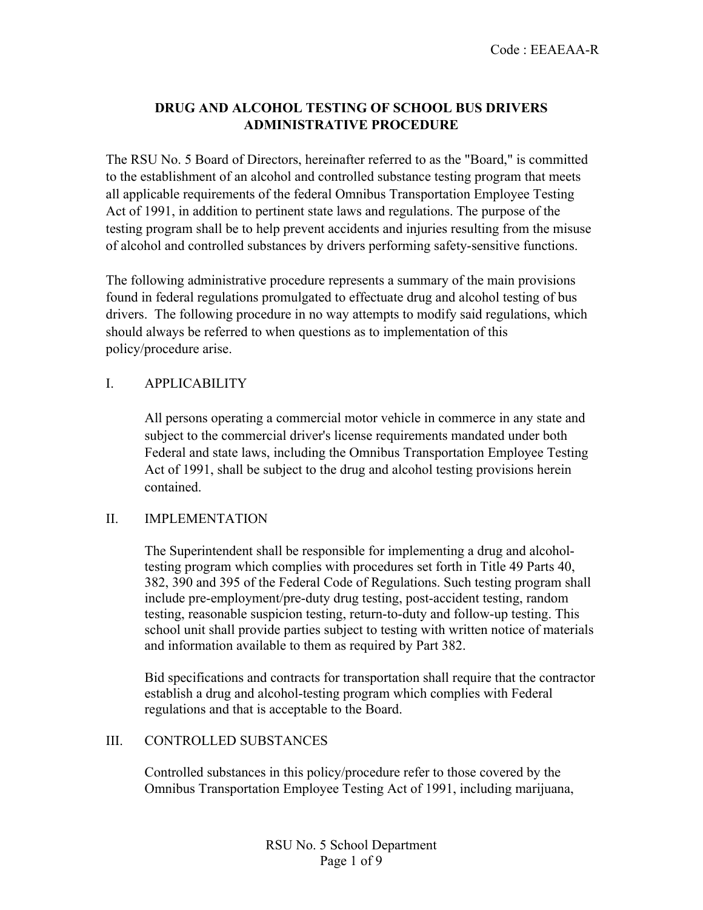# **DRUG AND ALCOHOL TESTING OF SCHOOL BUS DRIVERS ADMINISTRATIVE PROCEDURE**

The RSU No. 5 Board of Directors, hereinafter referred to as the "Board," is committed to the establishment of an alcohol and controlled substance testing program that meets all applicable requirements of the federal Omnibus Transportation Employee Testing Act of 1991, in addition to pertinent state laws and regulations. The purpose of the testing program shall be to help prevent accidents and injuries resulting from the misuse of alcohol and controlled substances by drivers performing safety-sensitive functions.

The following administrative procedure represents a summary of the main provisions found in federal regulations promulgated to effectuate drug and alcohol testing of bus drivers. The following procedure in no way attempts to modify said regulations, which should always be referred to when questions as to implementation of this policy/procedure arise.

## I. APPLICABILITY

All persons operating a commercial motor vehicle in commerce in any state and subject to the commercial driver's license requirements mandated under both Federal and state laws, including the Omnibus Transportation Employee Testing Act of 1991, shall be subject to the drug and alcohol testing provisions herein contained.

## II. IMPLEMENTATION

The Superintendent shall be responsible for implementing a drug and alcoholtesting program which complies with procedures set forth in Title 49 Parts 40, 382, 390 and 395 of the Federal Code of Regulations. Such testing program shall include pre-employment/pre-duty drug testing, post-accident testing, random testing, reasonable suspicion testing, return-to-duty and follow-up testing. This school unit shall provide parties subject to testing with written notice of materials and information available to them as required by Part 382.

Bid specifications and contracts for transportation shall require that the contractor establish a drug and alcohol-testing program which complies with Federal regulations and that is acceptable to the Board.

## III. CONTROLLED SUBSTANCES

Controlled substances in this policy/procedure refer to those covered by the Omnibus Transportation Employee Testing Act of 1991, including marijuana,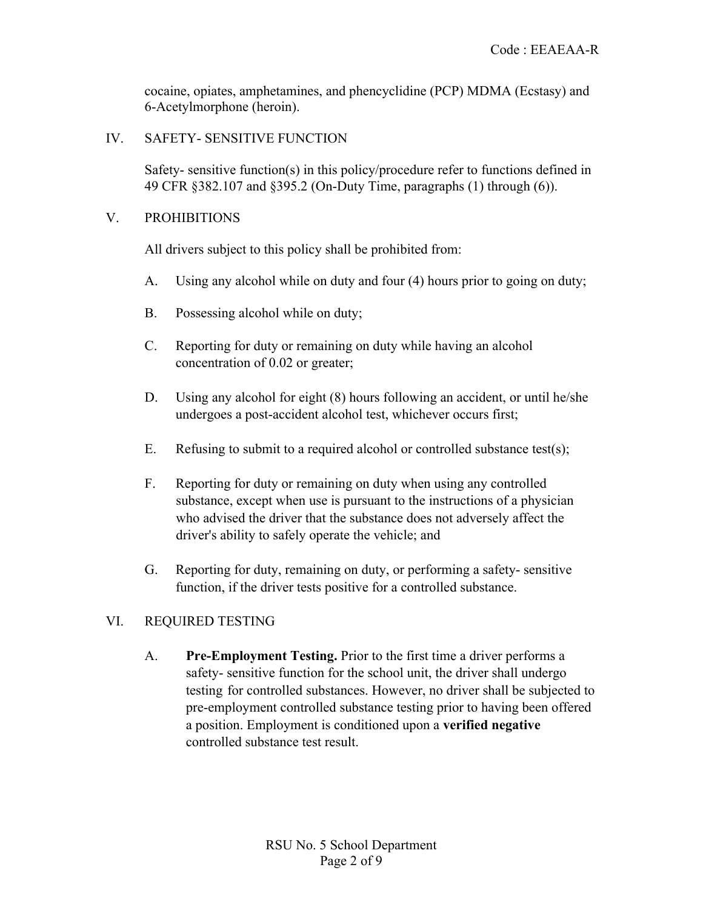cocaine, opiates, amphetamines, and phencyclidine (PCP) MDMA (Ecstasy) and 6-Acetylmorphone (heroin).

IV. SAFETY- SENSITIVE FUNCTION

Safety- sensitive function(s) in this policy/procedure refer to functions defined in 49 CFR §382.107 and §395.2 (On-Duty Time, paragraphs (1) through (6)).

## V. PROHIBITIONS

All drivers subject to this policy shall be prohibited from:

- A. Using any alcohol while on duty and four (4) hours prior to going on duty;
- B. Possessing alcohol while on duty;
- C. Reporting for duty or remaining on duty while having an alcohol concentration of 0.02 or greater;
- D. Using any alcohol for eight (8) hours following an accident, or until he/she undergoes a post-accident alcohol test, whichever occurs first;
- E. Refusing to submit to a required alcohol or controlled substance test(s);
- F. Reporting for duty or remaining on duty when using any controlled substance, except when use is pursuant to the instructions of a physician who advised the driver that the substance does not adversely affect the driver's ability to safely operate the vehicle; and
- G. Reporting for duty, remaining on duty, or performing a safety- sensitive function, if the driver tests positive for a controlled substance.

# VI. REQUIRED TESTING

A. **Pre-Employment Testing.** Prior to the first time a driver performs a safety- sensitive function for the school unit, the driver shall undergo testing for controlled substances. However, no driver shall be subjected to pre-employment controlled substance testing prior to having been offered a position. Employment is conditioned upon a **verified negative**  controlled substance test result.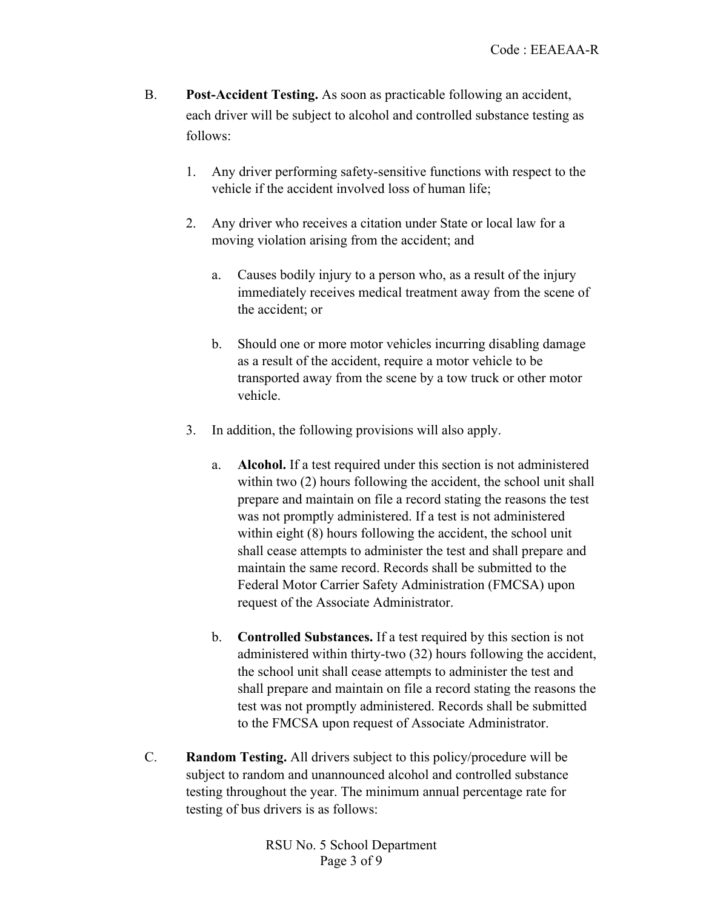- B. **Post-Accident Testing.** As soon as practicable following an accident, each driver will be subject to alcohol and controlled substance testing as follows:
	- 1. Any driver performing safety-sensitive functions with respect to the vehicle if the accident involved loss of human life;
	- 2. Any driver who receives a citation under State or local law for a moving violation arising from the accident; and
		- a. Causes bodily injury to a person who, as a result of the injury immediately receives medical treatment away from the scene of the accident; or
		- b. Should one or more motor vehicles incurring disabling damage as a result of the accident, require a motor vehicle to be transported away from the scene by a tow truck or other motor vehicle.
	- 3. In addition, the following provisions will also apply.
		- a. **Alcohol.** If a test required under this section is not administered within two  $(2)$  hours following the accident, the school unit shall prepare and maintain on file a record stating the reasons the test was not promptly administered. If a test is not administered within eight (8) hours following the accident, the school unit shall cease attempts to administer the test and shall prepare and maintain the same record. Records shall be submitted to the Federal Motor Carrier Safety Administration (FMCSA) upon request of the Associate Administrator.
		- b. **Controlled Substances.** If a test required by this section is not administered within thirty-two (32) hours following the accident, the school unit shall cease attempts to administer the test and shall prepare and maintain on file a record stating the reasons the test was not promptly administered. Records shall be submitted to the FMCSA upon request of Associate Administrator.
- C. **Random Testing.** All drivers subject to this policy/procedure will be subject to random and unannounced alcohol and controlled substance testing throughout the year. The minimum annual percentage rate for testing of bus drivers is as follows: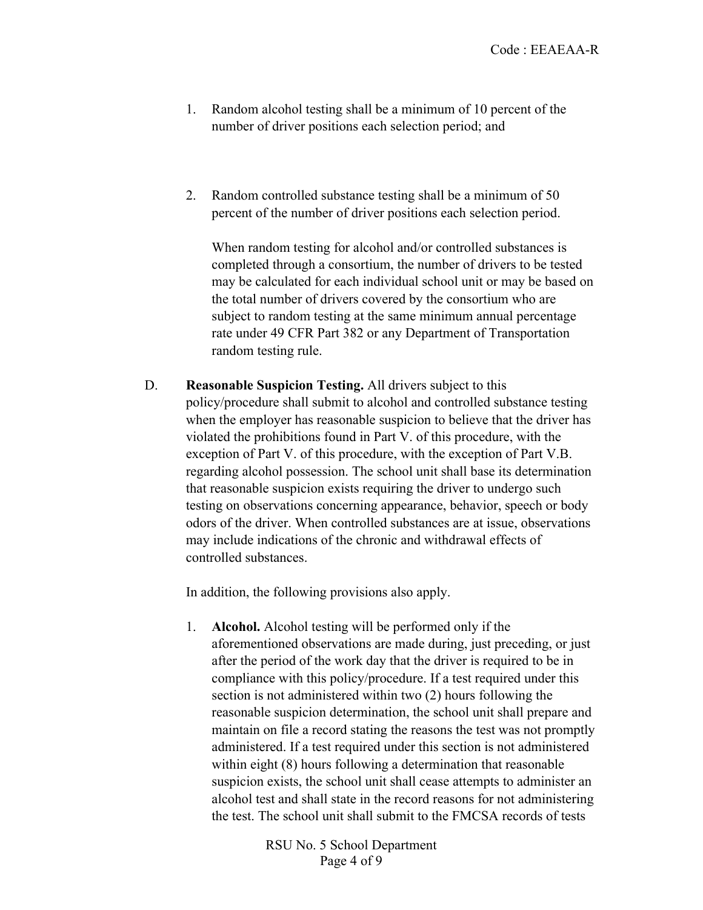- 1. Random alcohol testing shall be a minimum of 10 percent of the number of driver positions each selection period; and
- 2. Random controlled substance testing shall be a minimum of 50 percent of the number of driver positions each selection period.

When random testing for alcohol and/or controlled substances is completed through a consortium, the number of drivers to be tested may be calculated for each individual school unit or may be based on the total number of drivers covered by the consortium who are subject to random testing at the same minimum annual percentage rate under 49 CFR Part 382 or any Department of Transportation random testing rule.

D. **Reasonable Suspicion Testing.** All drivers subject to this policy/procedure shall submit to alcohol and controlled substance testing when the employer has reasonable suspicion to believe that the driver has violated the prohibitions found in Part V. of this procedure, with the exception of Part V. of this procedure, with the exception of Part V.B. regarding alcohol possession. The school unit shall base its determination that reasonable suspicion exists requiring the driver to undergo such testing on observations concerning appearance, behavior, speech or body odors of the driver. When controlled substances are at issue, observations may include indications of the chronic and withdrawal effects of controlled substances.

In addition, the following provisions also apply.

1. **Alcohol.** Alcohol testing will be performed only if the aforementioned observations are made during, just preceding, or just after the period of the work day that the driver is required to be in compliance with this policy/procedure. If a test required under this section is not administered within two (2) hours following the reasonable suspicion determination, the school unit shall prepare and maintain on file a record stating the reasons the test was not promptly administered. If a test required under this section is not administered within eight (8) hours following a determination that reasonable suspicion exists, the school unit shall cease attempts to administer an alcohol test and shall state in the record reasons for not administering the test. The school unit shall submit to the FMCSA records of tests

> RSU No. 5 School Department Page 4 of 9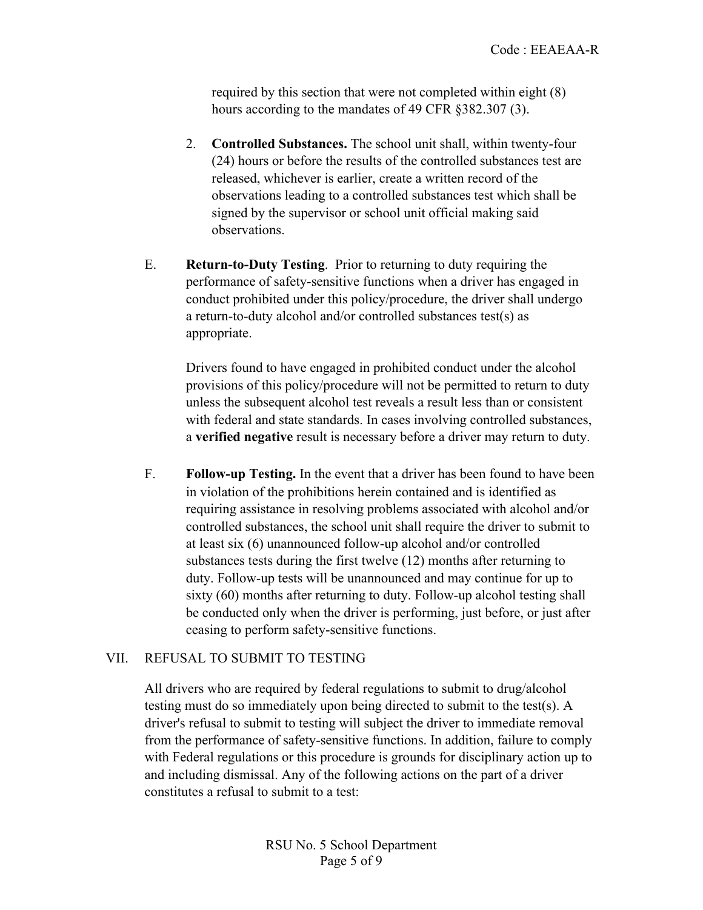required by this section that were not completed within eight (8) hours according to the mandates of 49 CFR §382.307 (3).

- 2. **Controlled Substances.** The school unit shall, within twenty-four (24) hours or before the results of the controlled substances test are released, whichever is earlier, create a written record of the observations leading to a controlled substances test which shall be signed by the supervisor or school unit official making said observations.
- E. **Return-to-Duty Testing**. Prior to returning to duty requiring the performance of safety-sensitive functions when a driver has engaged in conduct prohibited under this policy/procedure, the driver shall undergo a return-to-duty alcohol and/or controlled substances test(s) as appropriate.

Drivers found to have engaged in prohibited conduct under the alcohol provisions of this policy/procedure will not be permitted to return to duty unless the subsequent alcohol test reveals a result less than or consistent with federal and state standards. In cases involving controlled substances, a **verified negative** result is necessary before a driver may return to duty.

F. **Follow-up Testing.** In the event that a driver has been found to have been in violation of the prohibitions herein contained and is identified as requiring assistance in resolving problems associated with alcohol and/or controlled substances, the school unit shall require the driver to submit to at least six (6) unannounced follow-up alcohol and/or controlled substances tests during the first twelve (12) months after returning to duty. Follow-up tests will be unannounced and may continue for up to sixty (60) months after returning to duty. Follow-up alcohol testing shall be conducted only when the driver is performing, just before, or just after ceasing to perform safety-sensitive functions.

## VII. REFUSAL TO SUBMIT TO TESTING

All drivers who are required by federal regulations to submit to drug/alcohol testing must do so immediately upon being directed to submit to the test(s). A driver's refusal to submit to testing will subject the driver to immediate removal from the performance of safety-sensitive functions. In addition, failure to comply with Federal regulations or this procedure is grounds for disciplinary action up to and including dismissal. Any of the following actions on the part of a driver constitutes a refusal to submit to a test: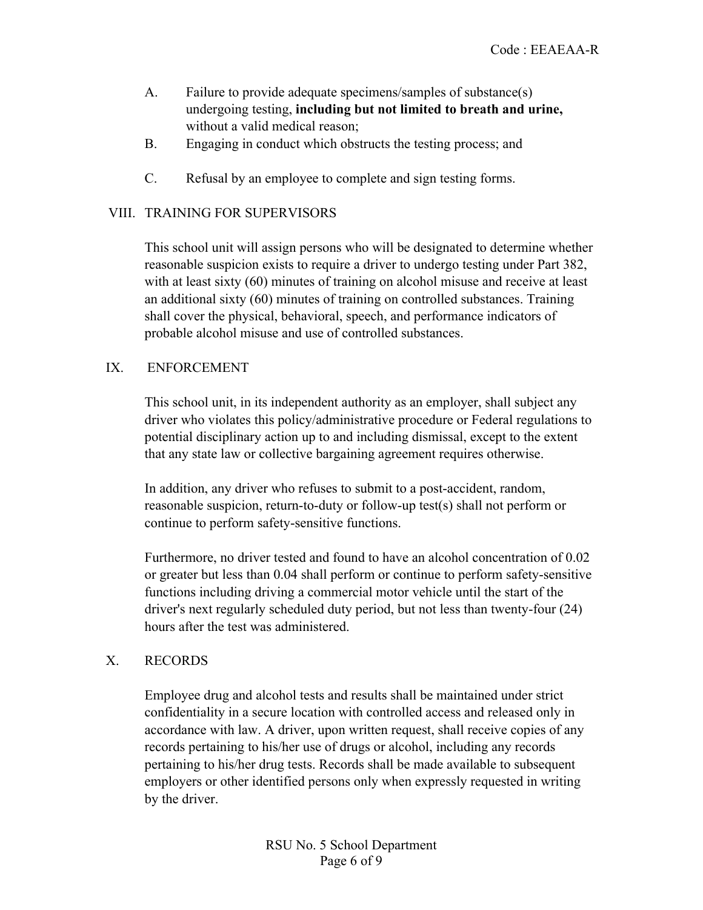- A. Failure to provide adequate specimens/samples of substance(s) undergoing testing, **including but not limited to breath and urine,**  without a valid medical reason;
- B. Engaging in conduct which obstructs the testing process; and
- C. Refusal by an employee to complete and sign testing forms.

## VIII. TRAINING FOR SUPERVISORS

This school unit will assign persons who will be designated to determine whether reasonable suspicion exists to require a driver to undergo testing under Part 382, with at least sixty (60) minutes of training on alcohol misuse and receive at least an additional sixty (60) minutes of training on controlled substances. Training shall cover the physical, behavioral, speech, and performance indicators of probable alcohol misuse and use of controlled substances.

#### IX. ENFORCEMENT

This school unit, in its independent authority as an employer, shall subject any driver who violates this policy/administrative procedure or Federal regulations to potential disciplinary action up to and including dismissal, except to the extent that any state law or collective bargaining agreement requires otherwise.

In addition, any driver who refuses to submit to a post-accident, random, reasonable suspicion, return-to-duty or follow-up test(s) shall not perform or continue to perform safety-sensitive functions.

Furthermore, no driver tested and found to have an alcohol concentration of 0.02 or greater but less than 0.04 shall perform or continue to perform safety-sensitive functions including driving a commercial motor vehicle until the start of the driver's next regularly scheduled duty period, but not less than twenty-four (24) hours after the test was administered.

## X. RECORDS

Employee drug and alcohol tests and results shall be maintained under strict confidentiality in a secure location with controlled access and released only in accordance with law. A driver, upon written request, shall receive copies of any records pertaining to his/her use of drugs or alcohol, including any records pertaining to his/her drug tests. Records shall be made available to subsequent employers or other identified persons only when expressly requested in writing by the driver.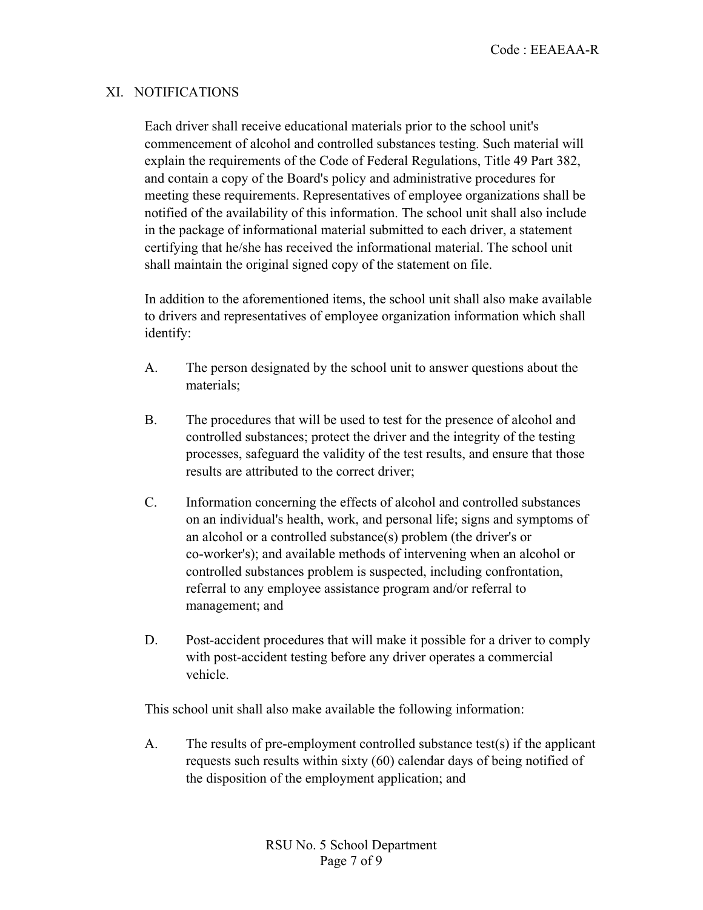## XI. NOTIFICATIONS

Each driver shall receive educational materials prior to the school unit's commencement of alcohol and controlled substances testing. Such material will explain the requirements of the Code of Federal Regulations, Title 49 Part 382, and contain a copy of the Board's policy and administrative procedures for meeting these requirements. Representatives of employee organizations shall be notified of the availability of this information. The school unit shall also include in the package of informational material submitted to each driver, a statement certifying that he/she has received the informational material. The school unit shall maintain the original signed copy of the statement on file.

In addition to the aforementioned items, the school unit shall also make available to drivers and representatives of employee organization information which shall identify:

- A. The person designated by the school unit to answer questions about the materials;
- B. The procedures that will be used to test for the presence of alcohol and controlled substances; protect the driver and the integrity of the testing processes, safeguard the validity of the test results, and ensure that those results are attributed to the correct driver;
- C. Information concerning the effects of alcohol and controlled substances on an individual's health, work, and personal life; signs and symptoms of an alcohol or a controlled substance(s) problem (the driver's or co-worker's); and available methods of intervening when an alcohol or controlled substances problem is suspected, including confrontation, referral to any employee assistance program and/or referral to management; and
- D. Post-accident procedures that will make it possible for a driver to comply with post-accident testing before any driver operates a commercial vehicle.

This school unit shall also make available the following information:

A. The results of pre-employment controlled substance test(s) if the applicant requests such results within sixty (60) calendar days of being notified of the disposition of the employment application; and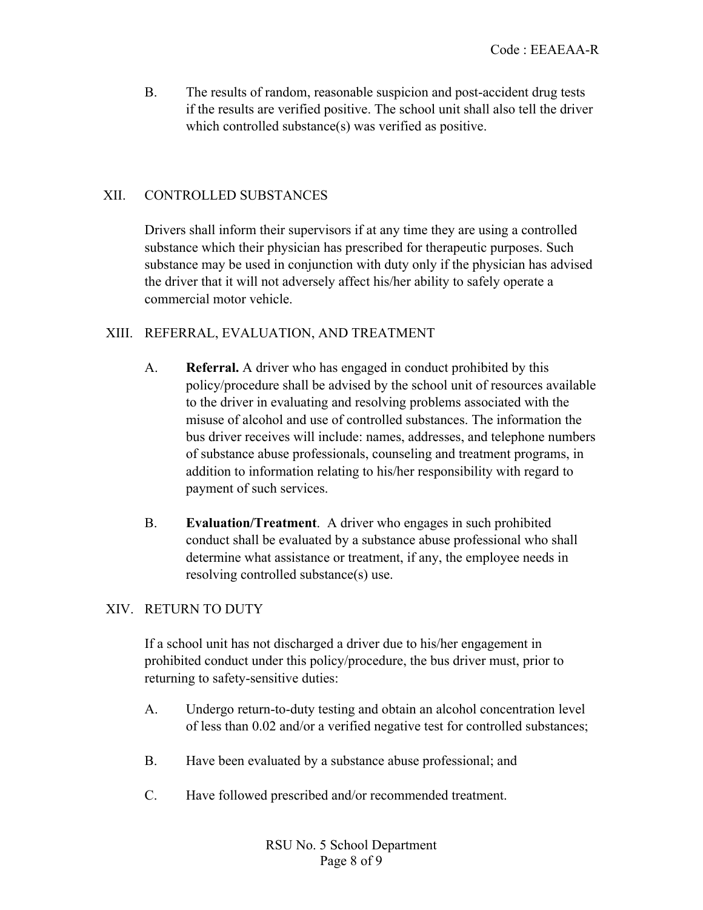B. The results of random, reasonable suspicion and post-accident drug tests if the results are verified positive. The school unit shall also tell the driver which controlled substance(s) was verified as positive.

### XII. CONTROLLED SUBSTANCES

Drivers shall inform their supervisors if at any time they are using a controlled substance which their physician has prescribed for therapeutic purposes. Such substance may be used in conjunction with duty only if the physician has advised the driver that it will not adversely affect his/her ability to safely operate a commercial motor vehicle.

#### XIII. REFERRAL, EVALUATION, AND TREATMENT

- A. **Referral.** A driver who has engaged in conduct prohibited by this policy/procedure shall be advised by the school unit of resources available to the driver in evaluating and resolving problems associated with the misuse of alcohol and use of controlled substances. The information the bus driver receives will include: names, addresses, and telephone numbers of substance abuse professionals, counseling and treatment programs, in addition to information relating to his/her responsibility with regard to payment of such services.
- B. **Evaluation/Treatment**. A driver who engages in such prohibited conduct shall be evaluated by a substance abuse professional who shall determine what assistance or treatment, if any, the employee needs in resolving controlled substance(s) use.

## XIV. RETURN TO DUTY

If a school unit has not discharged a driver due to his/her engagement in prohibited conduct under this policy/procedure, the bus driver must, prior to returning to safety-sensitive duties:

- A. Undergo return-to-duty testing and obtain an alcohol concentration level of less than 0.02 and/or a verified negative test for controlled substances;
- B. Have been evaluated by a substance abuse professional; and
- C. Have followed prescribed and/or recommended treatment.